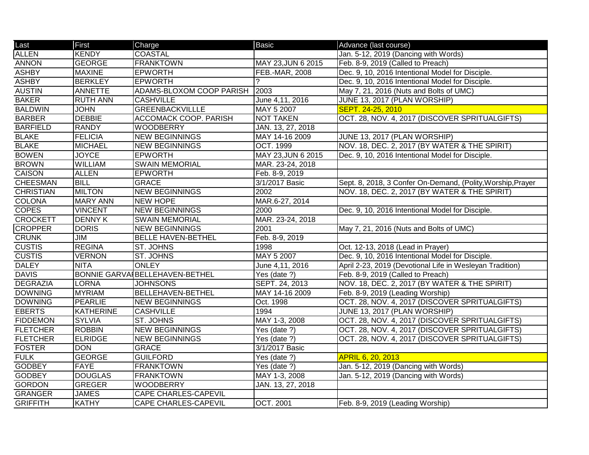| Last             | First            | Charge                                 | <b>Basic</b>          | Advance (last course)                                       |
|------------------|------------------|----------------------------------------|-----------------------|-------------------------------------------------------------|
| <b>ALLEN</b>     | <b>KENDY</b>     | <b>COASTAL</b>                         |                       | Jan. 5-12, 2019 (Dancing with Words)                        |
| <b>ANNON</b>     | <b>GEORGE</b>    | <b>FRANKTOWN</b>                       | MAY 23, JUN 6 2015    | Feb. 8-9, 2019 (Called to Preach)                           |
| <b>ASHBY</b>     | <b>MAXINE</b>    | <b>EPWORTH</b>                         | <b>FEB.-MAR, 2008</b> | Dec. 9, 10, 2016 Intentional Model for Disciple.            |
| <b>ASHBY</b>     | <b>BERKLEY</b>   | <b>EPWORTH</b>                         |                       | Dec. 9, 10, 2016 Intentional Model for Disciple.            |
| <b>AUSTIN</b>    | <b>ANNETTE</b>   | <b>ADAMS-BLOXOM COOP PARISH</b>        | 2003                  | May 7, 21, 2016 (Nuts and Bolts of UMC)                     |
| <b>BAKER</b>     | <b>RUTH ANN</b>  | <b>CASHVILLE</b>                       | June 4,11, 2016       | JUNE 13, 2017 (PLAN WORSHIP)                                |
| <b>BALDWIN</b>   | <b>JOHN</b>      | <b>GREENBACKVILLLE</b>                 | MAY 5 2007            | SEPT. 24-25, 2010                                           |
| <b>BARBER</b>    | <b>DEBBIE</b>    | <b>ACCOMACK COOP. PARISH</b>           | <b>NOT TAKEN</b>      | OCT. 28, NOV. 4, 2017 (DISCOVER SPRITUALGIFTS)              |
| <b>BARFIELD</b>  | <b>RANDY</b>     | <b>WOODBERRY</b>                       | JAN. 13, 27, 2018     |                                                             |
| <b>BLAKE</b>     | <b>FELICIA</b>   | <b>NEW BEGINNINGS</b>                  | MAY 14-16 2009        | JUNE 13, 2017 (PLAN WORSHIP)                                |
| <b>BLAKE</b>     | <b>MICHAEL</b>   | <b>NEW BEGINNINGS</b>                  | <b>OCT. 1999</b>      | NOV. 18, DEC. 2, 2017 (BY WATER & THE SPIRIT)               |
| <b>BOWEN</b>     | <b>JOYCE</b>     | <b>EPWORTH</b>                         | MAY 23, JUN 6 2015    | Dec. 9, 10, 2016 Intentional Model for Disciple.            |
| <b>BROWN</b>     | <b>WILLIAM</b>   | <b>SWAIN MEMORIAL</b>                  | MAR. 23-24, 2018      |                                                             |
| <b>CAISON</b>    | <b>ALLEN</b>     | <b>EPWORTH</b>                         | Feb. 8-9, 2019        |                                                             |
| <b>CHEESMAN</b>  | <b>BILL</b>      | <b>GRACE</b>                           | 3/1/2017 Basic        | Sept. 8, 2018, 3 Confer On-Demand, (Polity, Worship, Prayer |
| <b>CHRISTIAN</b> | <b>MILTON</b>    | <b>NEW BEGINNINGS</b>                  | 2002                  | NOV. 18, DEC. 2, 2017 (BY WATER & THE SPIRIT)               |
| <b>COLONA</b>    | <b>MARY ANN</b>  | <b>NEW HOPE</b>                        | MAR.6-27, 2014        |                                                             |
| <b>COPES</b>     | <b>VINCENT</b>   | <b>NEW BEGINNINGS</b>                  | 2000                  | Dec. 9, 10, 2016 Intentional Model for Disciple.            |
| <b>CROCKETT</b>  | <b>DENNY K</b>   | <b>SWAIN MEMORIAL</b>                  | MAR. 23-24, 2018      |                                                             |
| <b>CROPPER</b>   | <b>DORIS</b>     | <b>NEW BEGINNINGS</b>                  | 2001                  | May 7, 21, 2016 (Nuts and Bolts of UMC)                     |
| <b>CRUNK</b>     | JIM              | <b>BELLE HAVEN-BETHEL</b>              | Feb. 8-9, 2019        |                                                             |
| <b>CUSTIS</b>    | <b>REGINA</b>    | ST. JOHNS                              | 1998                  | Oct. 12-13, 2018 (Lead in Prayer)                           |
| <b>CUSTIS</b>    | <b>VERNON</b>    | ST. JOHNS                              | MAY 5 2007            | Dec. 9, 10, 2016 Intentional Model for Disciple.            |
| <b>DALEY</b>     | <b>NITA</b>      | <b>ONLEY</b>                           | June 4,11, 2016       | April 2-23, 2019 (Devotional Life in Wesleyan Tradition)    |
| <b>DAVIS</b>     |                  | <b>BONNIE GARVAI BELLEHAVEN-BETHEL</b> | Yes (date ?)          | Feb. 8-9, 2019 (Called to Preach)                           |
| <b>DEGRAZIA</b>  | <b>LORNA</b>     | <b>JOHNSONS</b>                        | SEPT. 24, 2013        | NOV. 18, DEC. 2, 2017 (BY WATER & THE SPIRIT)               |
| <b>DOWNING</b>   | <b>MYRIAM</b>    | <b>BELLEHAVEN-BETHEL</b>               | MAY 14-16 2009        | Feb. 8-9, 2019 (Leading Worship)                            |
| <b>DOWNING</b>   | <b>PEARLIE</b>   | <b>NEW BEGINNINGS</b>                  | Oct. 1998             | OCT. 28, NOV. 4, 2017 (DISCOVER SPRITUALGIFTS)              |
| <b>EBERTS</b>    | <b>KATHERINE</b> | <b>CASHVILLE</b>                       | 1994                  | JUNE 13, 2017 (PLAN WORSHIP)                                |
| <b>FIDDEMON</b>  | <b>SYLVIA</b>    | ST. JOHNS                              | MAY 1-3, 2008         | OCT. 28, NOV. 4, 2017 (DISCOVER SPRITUALGIFTS)              |
| <b>FLETCHER</b>  | <b>ROBBIN</b>    | <b>NEW BEGINNINGS</b>                  | Yes (date ?)          | OCT. 28, NOV. 4, 2017 (DISCOVER SPRITUALGIFTS)              |
| <b>FLETCHER</b>  | <b>ELRIDGE</b>   | <b>NEW BEGINNINGS</b>                  | Yes (date ?)          | OCT. 28, NOV. 4, 2017 (DISCOVER SPRITUALGIFTS)              |
| <b>FOSTER</b>    | <b>DON</b>       | <b>GRACE</b>                           | 3/1/2017 Basic        |                                                             |
| <b>FULK</b>      | <b>GEORGE</b>    | <b>GUILFORD</b>                        | Yes (date $?$ )       | <b>APRIL 6, 20, 2013</b>                                    |
| <b>GODBEY</b>    | <b>FAYE</b>      | <b>FRANKTOWN</b>                       | Yes (date ?)          | Jan. 5-12, 2019 (Dancing with Words)                        |
| <b>GODBEY</b>    | <b>DOUGLAS</b>   | <b>FRANKTOWN</b>                       | MAY 1-3, 2008         | Jan. 5-12, 2019 (Dancing with Words)                        |
| <b>GORDON</b>    | <b>GREGER</b>    | <b>WOODBERRY</b>                       | JAN. 13, 27, 2018     |                                                             |
| <b>GRANGER</b>   | <b>JAMES</b>     | <b>CAPE CHARLES-CAPEVIL</b>            |                       |                                                             |
| <b>GRIFFITH</b>  | <b>KATHY</b>     | <b>CAPE CHARLES-CAPEVIL</b>            | <b>OCT. 2001</b>      | Feb. 8-9, 2019 (Leading Worship)                            |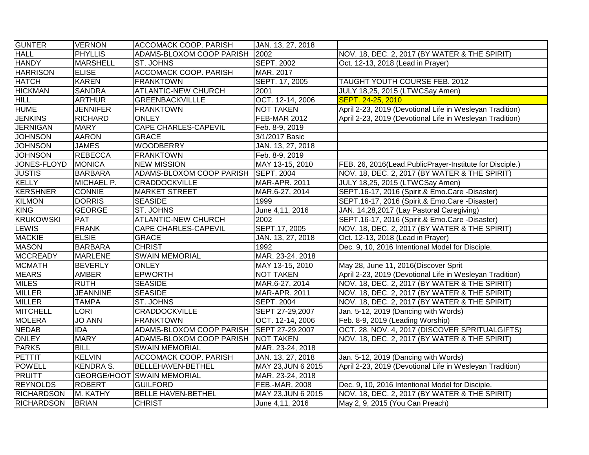| <b>GUNTER</b>     | <b>VERNON</b>     | <b>ACCOMACK COOP. PARISH</b>       | JAN. 13, 27, 2018    |                                                          |
|-------------------|-------------------|------------------------------------|----------------------|----------------------------------------------------------|
| <b>HALL</b>       | <b>PHYLLIS</b>    | ADAMS-BLOXOM COOP PARISH           | 2002                 | NOV. 18, DEC. 2, 2017 (BY WATER & THE SPIRIT)            |
| <b>HANDY</b>      | <b>MARSHELL</b>   | <b>ST. JOHNS</b>                   | <b>SEPT. 2002</b>    | Oct. 12-13, 2018 (Lead in Prayer)                        |
| <b>HARRISON</b>   | <b>ELISE</b>      | <b>ACCOMACK COOP. PARISH</b>       | MAR. 2017            |                                                          |
| <b>HATCH</b>      | <b>KAREN</b>      | <b>FRANKTOWN</b>                   | SEPT. 17, 2005       | <b>TAUGHT YOUTH COURSE FEB. 2012</b>                     |
| <b>HICKMAN</b>    | <b>SANDRA</b>     | <b>ATLANTIC-NEW CHURCH</b>         | 2001                 | JULY 18,25, 2015 (LTWCSay Amen)                          |
| <b>HILL</b>       | <b>ARTHUR</b>     | <b>GREENBACKVILLLE</b>             | OCT. 12-14, 2006     | SEPT. 24-25, 2010                                        |
| <b>HUME</b>       | <b>JENNIFER</b>   | <b>FRANKTOWN</b>                   | <b>NOT TAKEN</b>     | April 2-23, 2019 (Devotional Life in Wesleyan Tradition) |
| <b>JENKINS</b>    | <b>RICHARD</b>    | <b>ONLEY</b>                       | FEB-MAR 2012         | April 2-23, 2019 (Devotional Life in Wesleyan Tradition) |
| <b>JERNIGAN</b>   | <b>MARY</b>       | <b>CAPE CHARLES-CAPEVIL</b>        | Feb. 8-9, 2019       |                                                          |
| <b>JOHNSON</b>    | <b>AARON</b>      | <b>GRACE</b>                       | 3/1/2017 Basic       |                                                          |
| <b>JOHNSON</b>    | <b>JAMES</b>      | <b>WOODBERRY</b>                   | JAN. 13, 27, 2018    |                                                          |
| <b>JOHNSON</b>    | <b>REBECCA</b>    | <b>FRANKTOWN</b>                   | Feb. 8-9, 2019       |                                                          |
| JONES-FLOYD       | <b>MONICA</b>     | <b>NEW MISSION</b>                 | MAY 13-15, 2010      | FEB. 26, 2016(Lead.PublicPrayer-Institute for Disciple.) |
| <b>JUSTIS</b>     | <b>BARBARA</b>    | ADAMS-BLOXOM COOP PARISH           | <b>SEPT. 2004</b>    | NOV. 18, DEC. 2, 2017 (BY WATER & THE SPIRIT)            |
| <b>KELLY</b>      | <b>MICHAEL P.</b> | <b>CRADDOCKVILLE</b>               | <b>MAR-APR. 2011</b> | JULY 18,25, 2015 (LTWCSay Amen)                          |
| <b>KERSHNER</b>   | <b>CONNIE</b>     | <b>MARKET STREET</b>               | MAR.6-27, 2014       | SEPT.16-17, 2016 (Spirit.& Emo.Care -Disaster)           |
| <b>KILMON</b>     | <b>DORRIS</b>     | <b>SEASIDE</b>                     | 1999                 | SEPT.16-17, 2016 (Spirit.& Emo.Care -Disaster)           |
| <b>KING</b>       | <b>GEORGE</b>     | ST. JOHNS                          | June 4,11, 2016      | JAN. 14,28,2017 (Lay Pastoral Caregiving)                |
| <b>KRUKOWSKI</b>  | <b>PAT</b>        | <b>ATLANTIC-NEW CHURCH</b>         | 2002                 | SEPT.16-17, 2016 (Spirit.& Emo.Care -Disaster)           |
| <b>LEWIS</b>      | <b>FRANK</b>      | <b>CAPE CHARLES-CAPEVIL</b>        | SEPT.17, 2005        | NOV. 18, DEC. 2, 2017 (BY WATER & THE SPIRIT)            |
| <b>MACKIE</b>     | <b>ELSIE</b>      | <b>GRACE</b>                       | JAN. 13, 27, 2018    | Oct. 12-13, 2018 (Lead in Prayer)                        |
| <b>MASON</b>      | <b>BARBARA</b>    | <b>CHRIST</b>                      | 1992                 | Dec. 9, 10, 2016 Intentional Model for Disciple.         |
| <b>MCCREADY</b>   | <b>MARLENE</b>    | <b>SWAIN MEMORIAL</b>              | MAR. 23-24, 2018     |                                                          |
| <b>MCMATH</b>     | <b>BEVERLY</b>    | <b>ONLEY</b>                       | MAY 13-15, 2010      | May 28, June 11, 2016(Discover Sprit                     |
| <b>MEARS</b>      | <b>AMBER</b>      | <b>EPWORTH</b>                     | <b>NOT TAKEN</b>     | April 2-23, 2019 (Devotional Life in Wesleyan Tradition) |
| <b>MILES</b>      | <b>RUTH</b>       | <b>SEASIDE</b>                     | MAR.6-27, 2014       | NOV. 18, DEC. 2, 2017 (BY WATER & THE SPIRIT)            |
| <b>MILLER</b>     | <b>JEANNINE</b>   | <b>SEASIDE</b>                     | MAR-APR. 2011        | NOV. 18, DEC. 2, 2017 (BY WATER & THE SPIRIT)            |
| <b>MILLER</b>     | <b>TAMPA</b>      | ST. JOHNS                          | <b>SEPT. 2004</b>    | NOV. 18, DEC. 2, 2017 (BY WATER & THE SPIRIT)            |
| <b>MITCHELL</b>   | <b>LORI</b>       | <b>CRADDOCKVILLE</b>               | SEPT 27-29,2007      | Jan. 5-12, 2019 (Dancing with Words)                     |
| <b>MOLERA</b>     | <b>JO ANN</b>     | <b>FRANKTOWN</b>                   | OCT. 12-14, 2006     | Feb. 8-9, 2019 (Leading Worship)                         |
| <b>NEDAB</b>      | <b>IDA</b>        | ADAMS-BLOXOM COOP PARISH           | SEPT 27-29,2007      | OCT. 28, NOV. 4, 2017 (DISCOVER SPRITUALGIFTS)           |
| <b>ONLEY</b>      | <b>MARY</b>       | ADAMS-BLOXOM COOP PARISH NOT TAKEN |                      | NOV. 18, DEC. 2, 2017 (BY WATER & THE SPIRIT)            |
| <b>PARKS</b>      | <b>BILL</b>       | <b>SWAIN MEMORIAL</b>              | MAR. 23-24, 2018     |                                                          |
| <b>PETTIT</b>     | <b>KELVIN</b>     | <b>ACCOMACK COOP. PARISH</b>       | JAN. 13, 27, 2018    | Jan. 5-12, 2019 (Dancing with Words)                     |
| <b>POWELL</b>     | <b>KENDRA S.</b>  | <b>BELLEHAVEN-BETHEL</b>           | MAY 23, JUN 6 2015   | April 2-23, 2019 (Devotional Life in Wesleyan Tradition) |
| <b>PRUITT</b>     | GEORGE/HOOT       | <b>SWAIN MEMORIAL</b>              | MAR. 23-24, 2018     |                                                          |
| <b>REYNOLDS</b>   | <b>ROBERT</b>     | <b>GUILFORD</b>                    | FEB.-MAR, 2008       | Dec. 9, 10, 2016 Intentional Model for Disciple.         |
| <b>RICHARDSON</b> | M. KATHY          | <b>BELLE HAVEN-BETHEL</b>          | MAY 23, JUN 6 2015   | NOV. 18, DEC. 2, 2017 (BY WATER & THE SPIRIT)            |
| <b>RICHARDSON</b> | <b>BRIAN</b>      | <b>CHRIST</b>                      | June 4,11, 2016      | May 2, 9, 2015 (You Can Preach)                          |
|                   |                   |                                    |                      |                                                          |